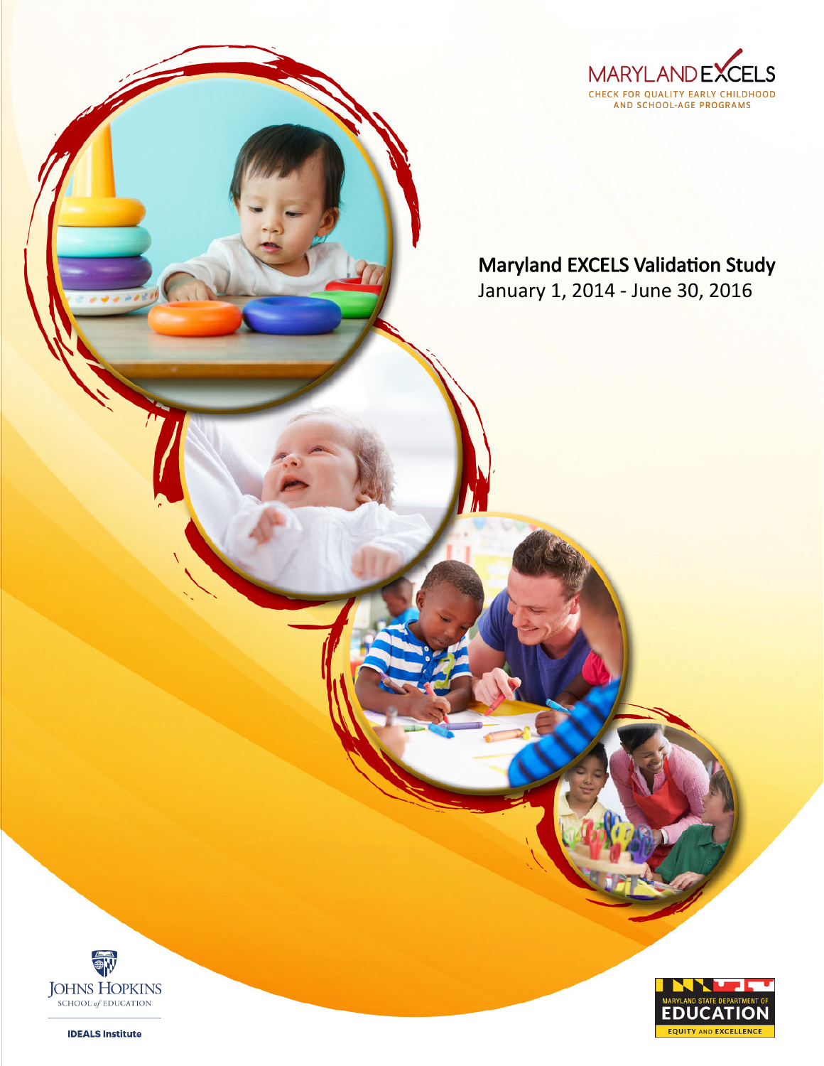

## Maryland EXCELS Validation Study

January 1, 2014 - June 30, 2016





**IDEALS Institute**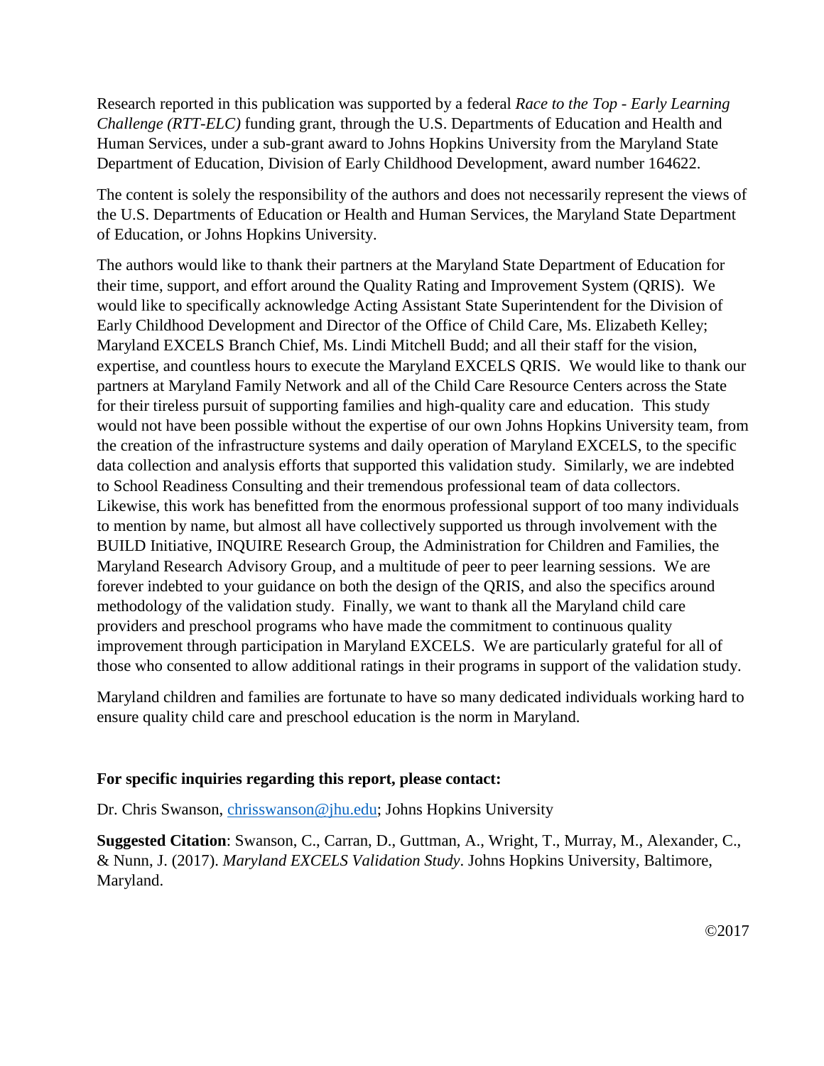Research reported in this publication was supported by a federal *Race to the Top - Early Learning Challenge (RTT-ELC)* funding grant, through the U.S. Departments of Education and Health and Human Services, under a sub-grant award to Johns Hopkins University from the Maryland State Department of Education, Division of Early Childhood Development, award number 164622.

The content is solely the responsibility of the authors and does not necessarily represent the views of the U.S. Departments of Education or Health and Human Services, the Maryland State Department of Education, or Johns Hopkins University.

The authors would like to thank their partners at the Maryland State Department of Education for their time, support, and effort around the Quality Rating and Improvement System (QRIS). We would like to specifically acknowledge Acting Assistant State Superintendent for the Division of Early Childhood Development and Director of the Office of Child Care, Ms. Elizabeth Kelley; Maryland EXCELS Branch Chief, Ms. Lindi Mitchell Budd; and all their staff for the vision, expertise, and countless hours to execute the Maryland EXCELS QRIS. We would like to thank our partners at Maryland Family Network and all of the Child Care Resource Centers across the State for their tireless pursuit of supporting families and high-quality care and education. This study would not have been possible without the expertise of our own Johns Hopkins University team, from the creation of the infrastructure systems and daily operation of Maryland EXCELS, to the specific data collection and analysis efforts that supported this validation study. Similarly, we are indebted to School Readiness Consulting and their tremendous professional team of data collectors. Likewise, this work has benefitted from the enormous professional support of too many individuals to mention by name, but almost all have collectively supported us through involvement with the BUILD Initiative, INQUIRE Research Group, the Administration for Children and Families, the Maryland Research Advisory Group, and a multitude of peer to peer learning sessions. We are forever indebted to your guidance on both the design of the QRIS, and also the specifics around methodology of the validation study. Finally, we want to thank all the Maryland child care providers and preschool programs who have made the commitment to continuous quality improvement through participation in Maryland EXCELS. We are particularly grateful for all of those who consented to allow additional ratings in their programs in support of the validation study.

Maryland children and families are fortunate to have so many dedicated individuals working hard to ensure quality child care and preschool education is the norm in Maryland.

#### **For specific inquiries regarding this report, please contact:**

Dr. Chris Swanson, [chrisswanson@jhu.edu;](mailto:chrisswanson@jhu.edu) Johns Hopkins University

**Suggested Citation**: Swanson, C., Carran, D., Guttman, A., Wright, T., Murray, M., Alexander, C., & Nunn, J. (2017). *Maryland EXCELS Validation Study*. Johns Hopkins University, Baltimore, Maryland.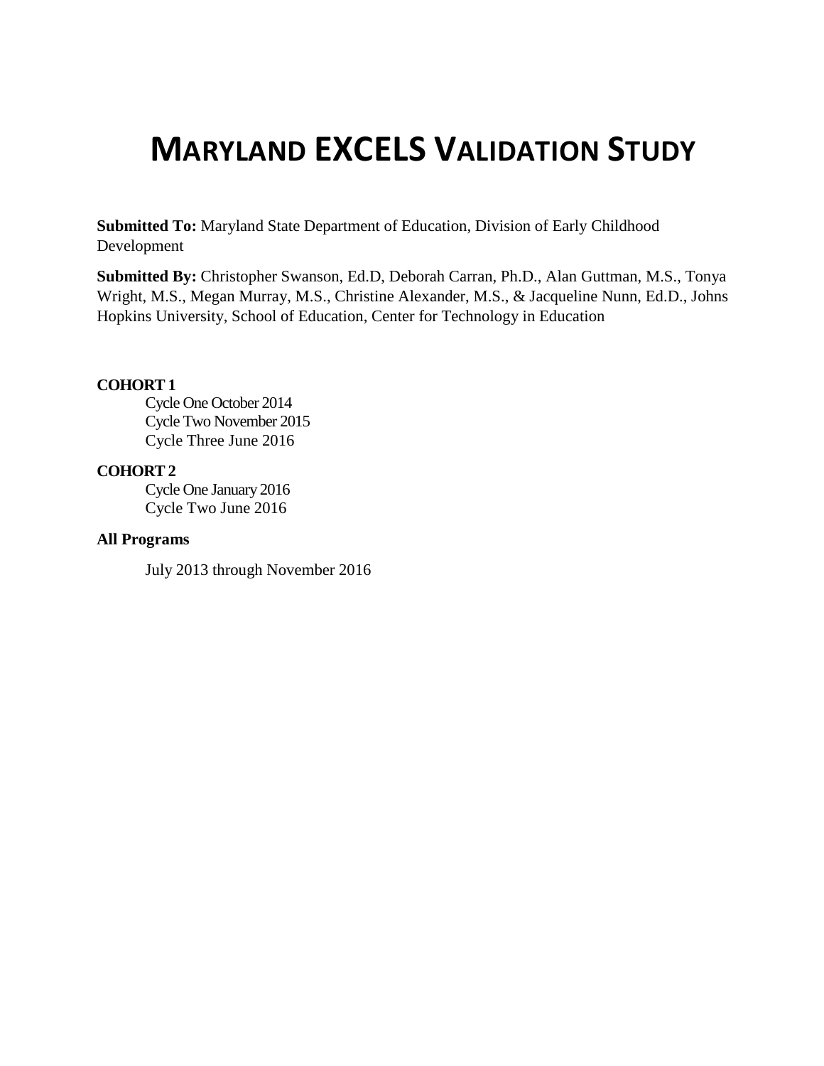# **MARYLAND EXCELS VALIDATION STUDY**

**Submitted To:** Maryland State Department of Education, Division of Early Childhood Development

**Submitted By:** Christopher Swanson, Ed.D, Deborah Carran, Ph.D., Alan Guttman, M.S., Tonya Wright, M.S., Megan Murray, M.S., Christine Alexander, M.S., & Jacqueline Nunn, Ed.D., Johns Hopkins University, School of Education, Center for Technology in Education

#### **COHORT 1**

Cycle One October 2014 Cycle Two November 2015 Cycle Three June 2016

#### **COHORT 2**

Cycle One January 2016 Cycle Two June 2016

#### **All Programs**

July 2013 through November 2016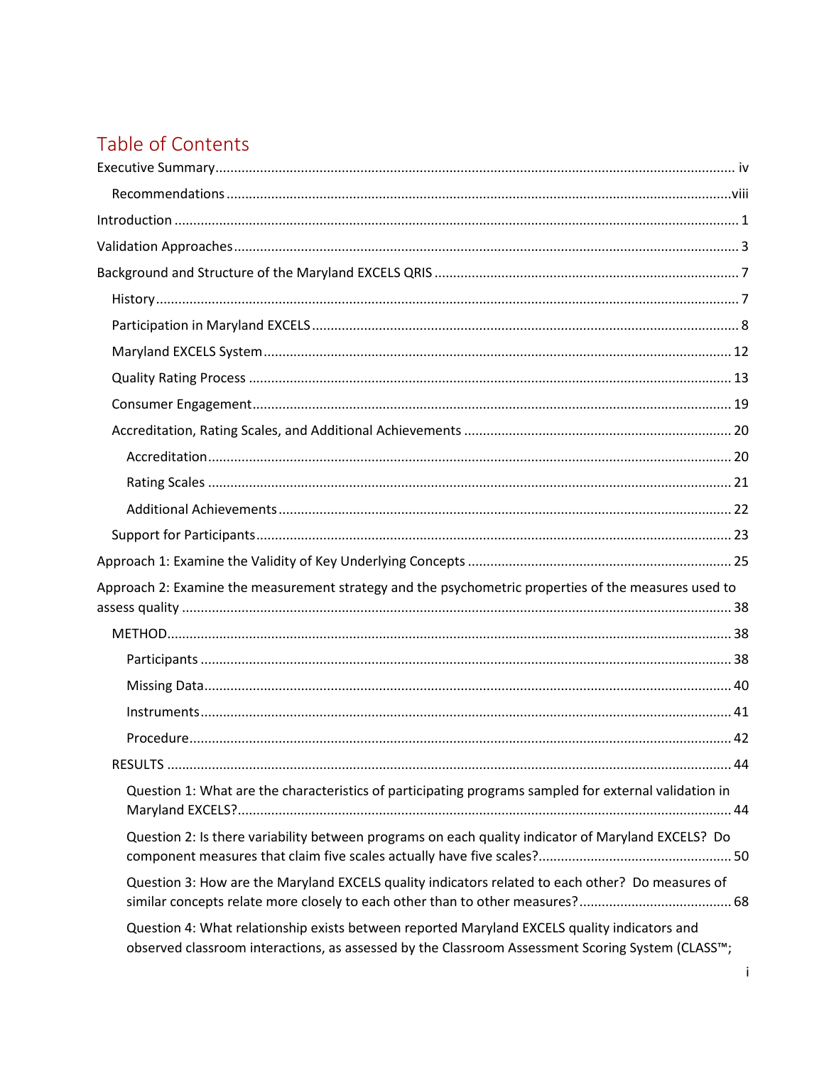## Table of Contents

| Approach 2: Examine the measurement strategy and the psychometric properties of the measures used to                                                                                             |
|--------------------------------------------------------------------------------------------------------------------------------------------------------------------------------------------------|
|                                                                                                                                                                                                  |
|                                                                                                                                                                                                  |
|                                                                                                                                                                                                  |
|                                                                                                                                                                                                  |
|                                                                                                                                                                                                  |
|                                                                                                                                                                                                  |
| Question 1: What are the characteristics of participating programs sampled for external validation in                                                                                            |
| Question 2: Is there variability between programs on each quality indicator of Maryland EXCELS? Do                                                                                               |
| Question 3: How are the Maryland EXCELS quality indicators related to each other? Do measures of                                                                                                 |
| Question 4: What relationship exists between reported Maryland EXCELS quality indicators and<br>observed classroom interactions, as assessed by the Classroom Assessment Scoring System (CLASS™; |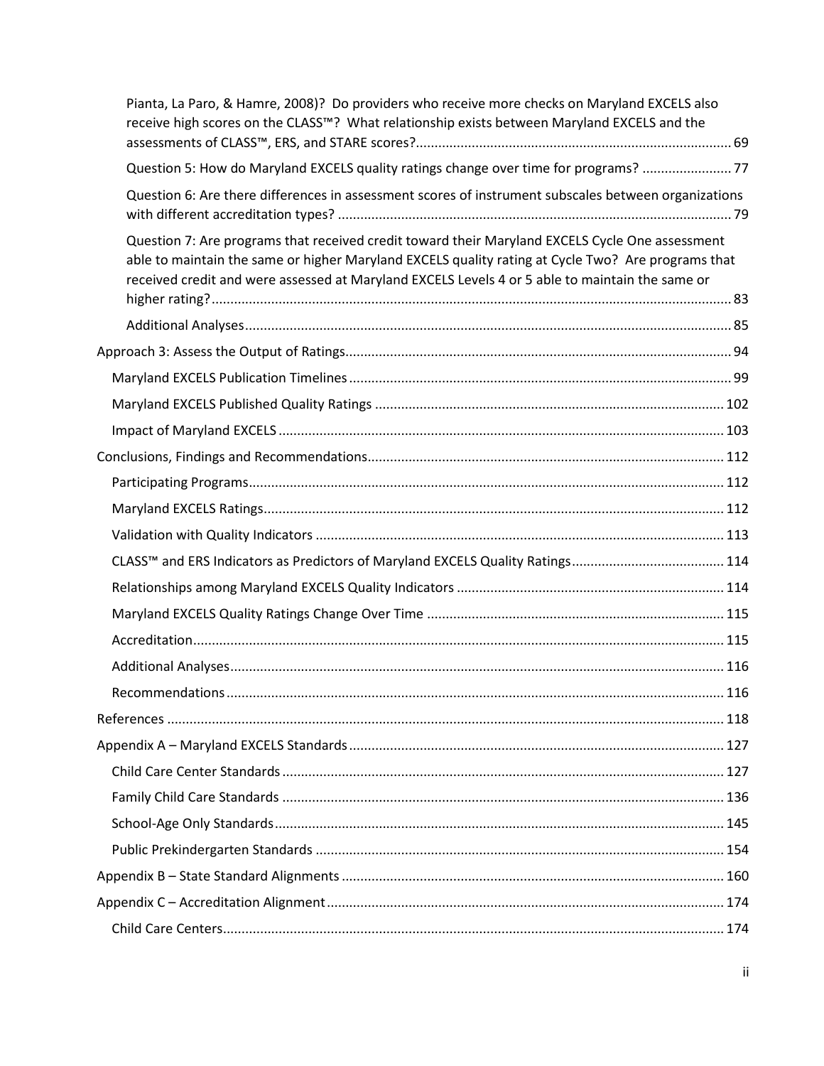| Pianta, La Paro, & Hamre, 2008)? Do providers who receive more checks on Maryland EXCELS also<br>receive high scores on the CLASS™? What relationship exists between Maryland EXCELS and the                                                                                                             |     |
|----------------------------------------------------------------------------------------------------------------------------------------------------------------------------------------------------------------------------------------------------------------------------------------------------------|-----|
| Question 5: How do Maryland EXCELS quality ratings change over time for programs?  77                                                                                                                                                                                                                    |     |
| Question 6: Are there differences in assessment scores of instrument subscales between organizations                                                                                                                                                                                                     |     |
| Question 7: Are programs that received credit toward their Maryland EXCELS Cycle One assessment<br>able to maintain the same or higher Maryland EXCELS quality rating at Cycle Two? Are programs that<br>received credit and were assessed at Maryland EXCELS Levels 4 or 5 able to maintain the same or |     |
|                                                                                                                                                                                                                                                                                                          |     |
|                                                                                                                                                                                                                                                                                                          |     |
|                                                                                                                                                                                                                                                                                                          |     |
|                                                                                                                                                                                                                                                                                                          |     |
|                                                                                                                                                                                                                                                                                                          |     |
|                                                                                                                                                                                                                                                                                                          |     |
|                                                                                                                                                                                                                                                                                                          |     |
|                                                                                                                                                                                                                                                                                                          |     |
|                                                                                                                                                                                                                                                                                                          |     |
|                                                                                                                                                                                                                                                                                                          |     |
|                                                                                                                                                                                                                                                                                                          |     |
|                                                                                                                                                                                                                                                                                                          |     |
|                                                                                                                                                                                                                                                                                                          |     |
|                                                                                                                                                                                                                                                                                                          |     |
| Recommendations.                                                                                                                                                                                                                                                                                         | 116 |
|                                                                                                                                                                                                                                                                                                          |     |
|                                                                                                                                                                                                                                                                                                          |     |
|                                                                                                                                                                                                                                                                                                          |     |
|                                                                                                                                                                                                                                                                                                          |     |
|                                                                                                                                                                                                                                                                                                          |     |
|                                                                                                                                                                                                                                                                                                          |     |
|                                                                                                                                                                                                                                                                                                          |     |
|                                                                                                                                                                                                                                                                                                          |     |
|                                                                                                                                                                                                                                                                                                          |     |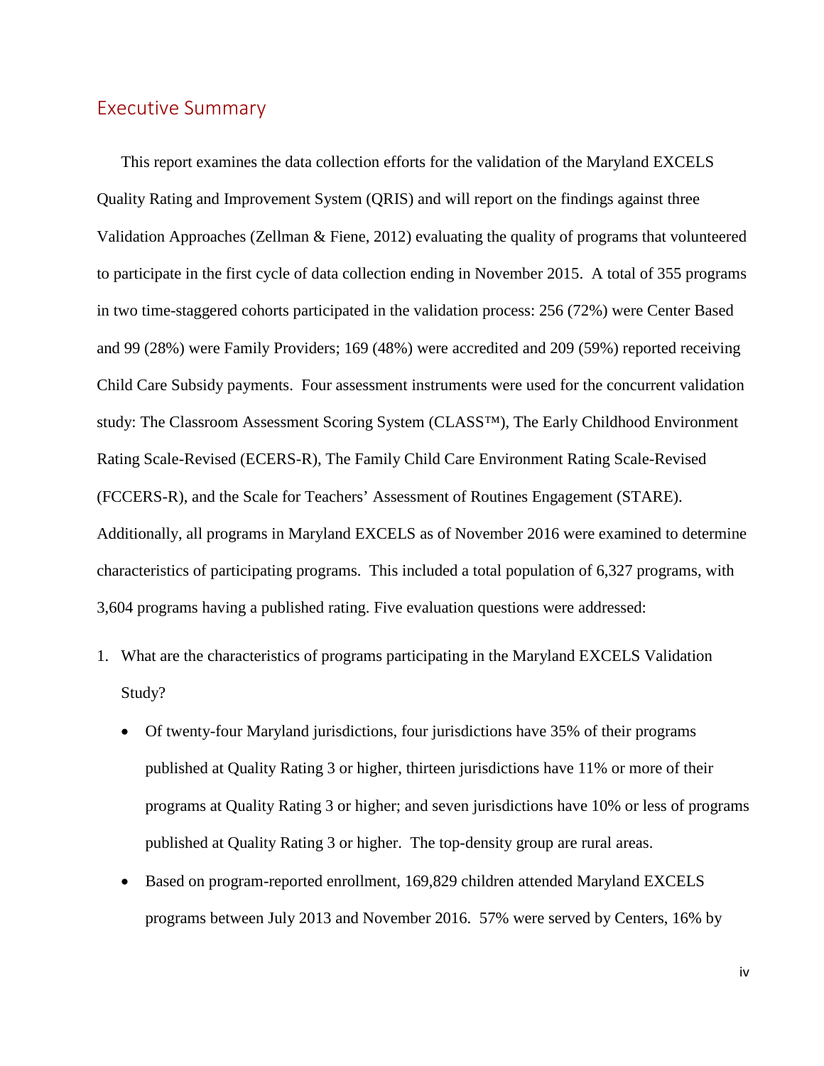### <span id="page-6-0"></span>Executive Summary

This report examines the data collection efforts for the validation of the Maryland EXCELS Quality Rating and Improvement System (QRIS) and will report on the findings against three Validation Approaches (Zellman & Fiene, 2012) evaluating the quality of programs that volunteered to participate in the first cycle of data collection ending in November 2015. A total of 355 programs in two time-staggered cohorts participated in the validation process: 256 (72%) were Center Based and 99 (28%) were Family Providers; 169 (48%) were accredited and 209 (59%) reported receiving Child Care Subsidy payments. Four assessment instruments were used for the concurrent validation study: The Classroom Assessment Scoring System (CLASS™), The Early Childhood Environment Rating Scale-Revised (ECERS-R), The Family Child Care Environment Rating Scale-Revised (FCCERS-R), and the Scale for Teachers' Assessment of Routines Engagement (STARE). Additionally, all programs in Maryland EXCELS as of November 2016 were examined to determine characteristics of participating programs. This included a total population of 6,327 programs, with 3,604 programs having a published rating. Five evaluation questions were addressed:

- 1. What are the characteristics of programs participating in the Maryland EXCELS Validation Study?
	- Of twenty-four Maryland jurisdictions, four jurisdictions have 35% of their programs published at Quality Rating 3 or higher, thirteen jurisdictions have 11% or more of their programs at Quality Rating 3 or higher; and seven jurisdictions have 10% or less of programs published at Quality Rating 3 or higher. The top-density group are rural areas.
	- Based on program-reported enrollment, 169,829 children attended Maryland EXCELS programs between July 2013 and November 2016. 57% were served by Centers, 16% by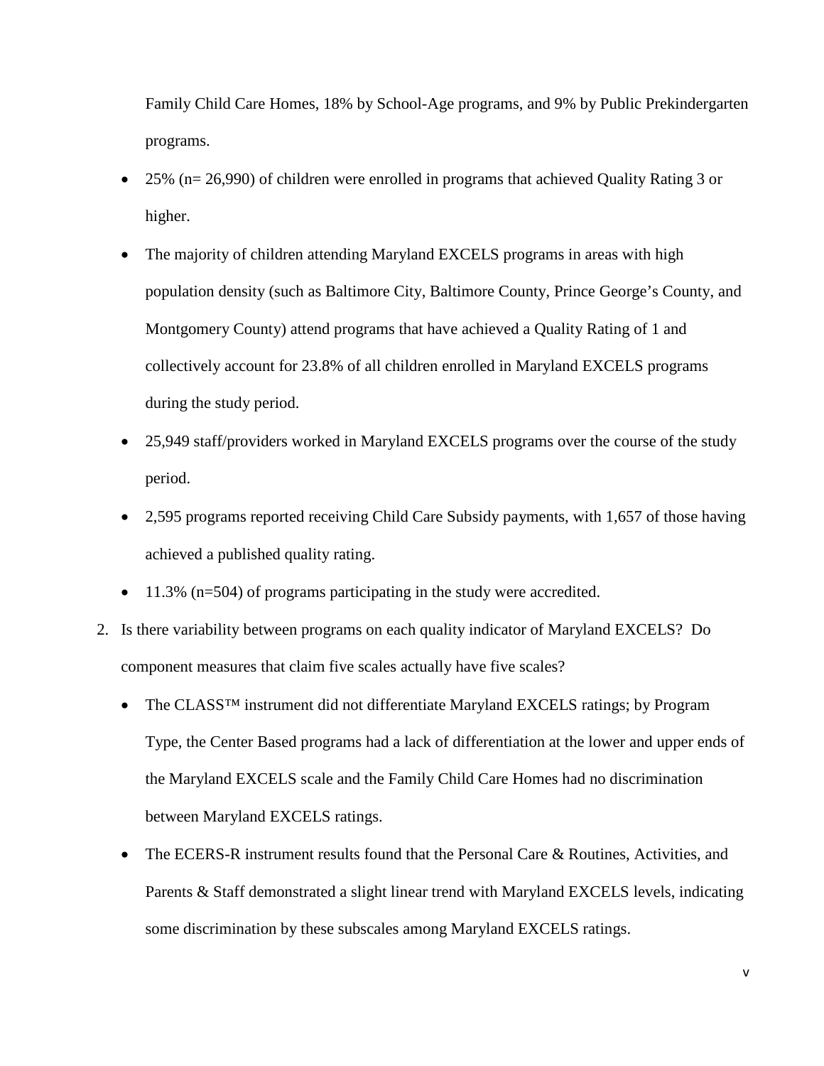Family Child Care Homes, 18% by School-Age programs, and 9% by Public Prekindergarten programs.

- 25% (n= 26,990) of children were enrolled in programs that achieved Quality Rating 3 or higher.
- The majority of children attending Maryland EXCELS programs in areas with high population density (such as Baltimore City, Baltimore County, Prince George's County, and Montgomery County) attend programs that have achieved a Quality Rating of 1 and collectively account for 23.8% of all children enrolled in Maryland EXCELS programs during the study period.
- 25,949 staff/providers worked in Maryland EXCELS programs over the course of the study period.
- 2,595 programs reported receiving Child Care Subsidy payments, with 1,657 of those having achieved a published quality rating.
- 11.3% (n=504) of programs participating in the study were accredited.
- 2. Is there variability between programs on each quality indicator of Maryland EXCELS? Do component measures that claim five scales actually have five scales?
	- The CLASS<sup>TM</sup> instrument did not differentiate Maryland EXCELS ratings; by Program Type, the Center Based programs had a lack of differentiation at the lower and upper ends of the Maryland EXCELS scale and the Family Child Care Homes had no discrimination between Maryland EXCELS ratings.
	- The ECERS-R instrument results found that the Personal Care & Routines, Activities, and Parents & Staff demonstrated a slight linear trend with Maryland EXCELS levels, indicating some discrimination by these subscales among Maryland EXCELS ratings.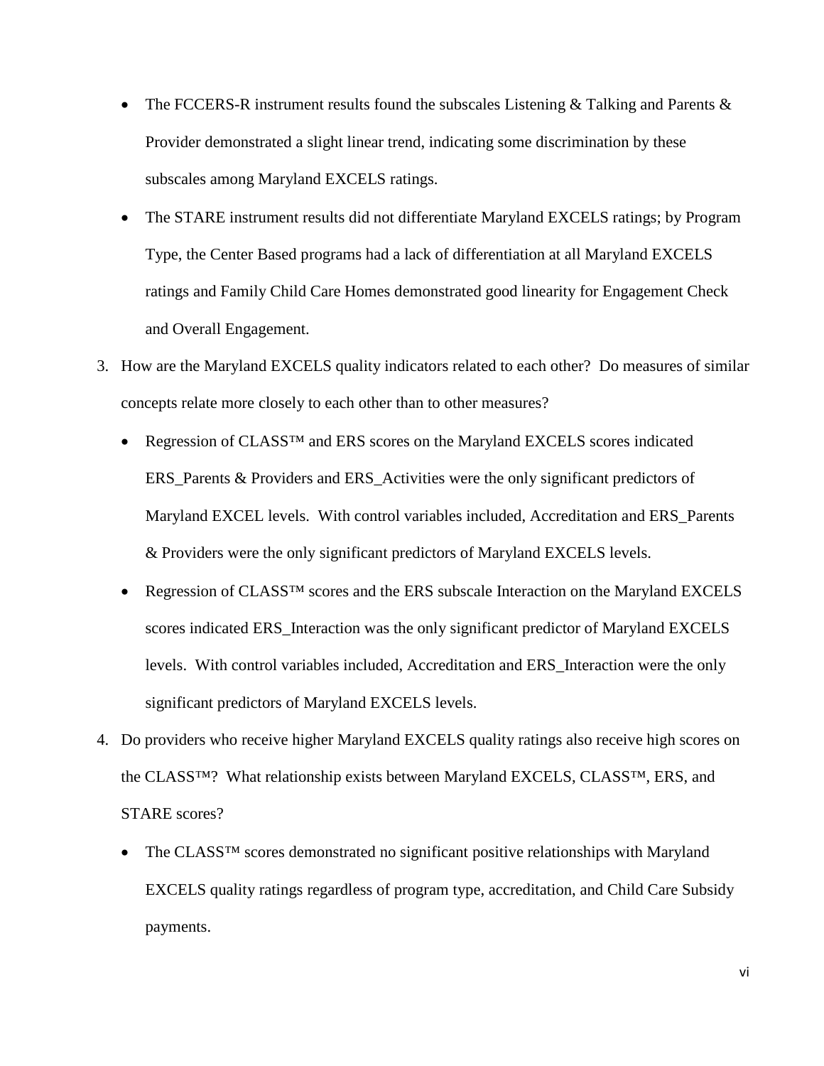- The FCCERS-R instrument results found the subscales Listening & Talking and Parents  $\&$ Provider demonstrated a slight linear trend, indicating some discrimination by these subscales among Maryland EXCELS ratings.
- The STARE instrument results did not differentiate Maryland EXCELS ratings; by Program Type, the Center Based programs had a lack of differentiation at all Maryland EXCELS ratings and Family Child Care Homes demonstrated good linearity for Engagement Check and Overall Engagement.
- 3. How are the Maryland EXCELS quality indicators related to each other? Do measures of similar concepts relate more closely to each other than to other measures?
	- Regression of CLASS<sup>™</sup> and ERS scores on the Maryland EXCELS scores indicated ERS\_Parents & Providers and ERS\_Activities were the only significant predictors of Maryland EXCEL levels. With control variables included, Accreditation and ERS\_Parents & Providers were the only significant predictors of Maryland EXCELS levels.
	- Regression of CLASS<sup>TM</sup> scores and the ERS subscale Interaction on the Maryland EXCELS scores indicated ERS\_Interaction was the only significant predictor of Maryland EXCELS levels. With control variables included, Accreditation and ERS\_Interaction were the only significant predictors of Maryland EXCELS levels.
- 4. Do providers who receive higher Maryland EXCELS quality ratings also receive high scores on the CLASS™? What relationship exists between Maryland EXCELS, CLASS™, ERS, and STARE scores?
	- The CLASS<sup>TM</sup> scores demonstrated no significant positive relationships with Maryland EXCELS quality ratings regardless of program type, accreditation, and Child Care Subsidy payments.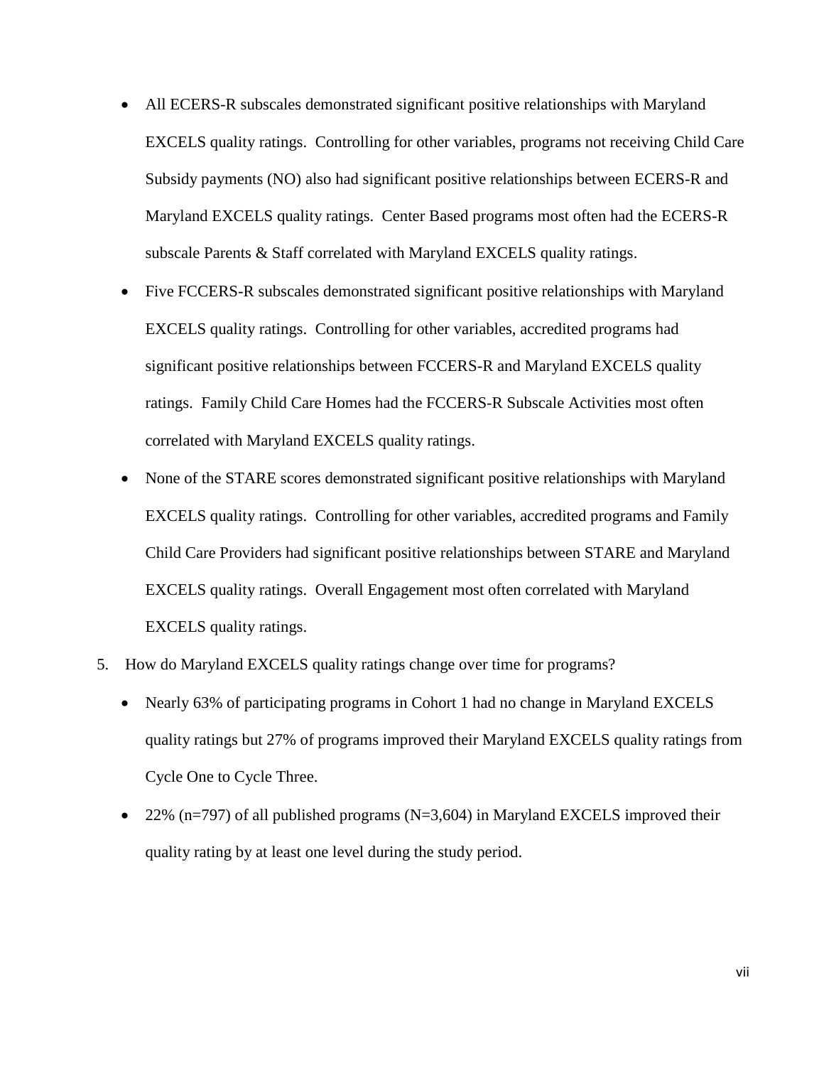- All ECERS-R subscales demonstrated significant positive relationships with Maryland EXCELS quality ratings. Controlling for other variables, programs not receiving Child Care Subsidy payments (NO) also had significant positive relationships between ECERS-R and Maryland EXCELS quality ratings. Center Based programs most often had the ECERS-R subscale Parents & Staff correlated with Maryland EXCELS quality ratings.
- Five FCCERS-R subscales demonstrated significant positive relationships with Maryland EXCELS quality ratings. Controlling for other variables, accredited programs had significant positive relationships between FCCERS-R and Maryland EXCELS quality ratings. Family Child Care Homes had the FCCERS-R Subscale Activities most often correlated with Maryland EXCELS quality ratings.
- None of the STARE scores demonstrated significant positive relationships with Maryland EXCELS quality ratings. Controlling for other variables, accredited programs and Family Child Care Providers had significant positive relationships between STARE and Maryland EXCELS quality ratings. Overall Engagement most often correlated with Maryland EXCELS quality ratings.
- 5. How do Maryland EXCELS quality ratings change over time for programs?
	- Nearly 63% of participating programs in Cohort 1 had no change in Maryland EXCELS quality ratings but 27% of programs improved their Maryland EXCELS quality ratings from Cycle One to Cycle Three.
	- 22% (n=797) of all published programs ( $N=3,604$ ) in Maryland EXCELS improved their quality rating by at least one level during the study period.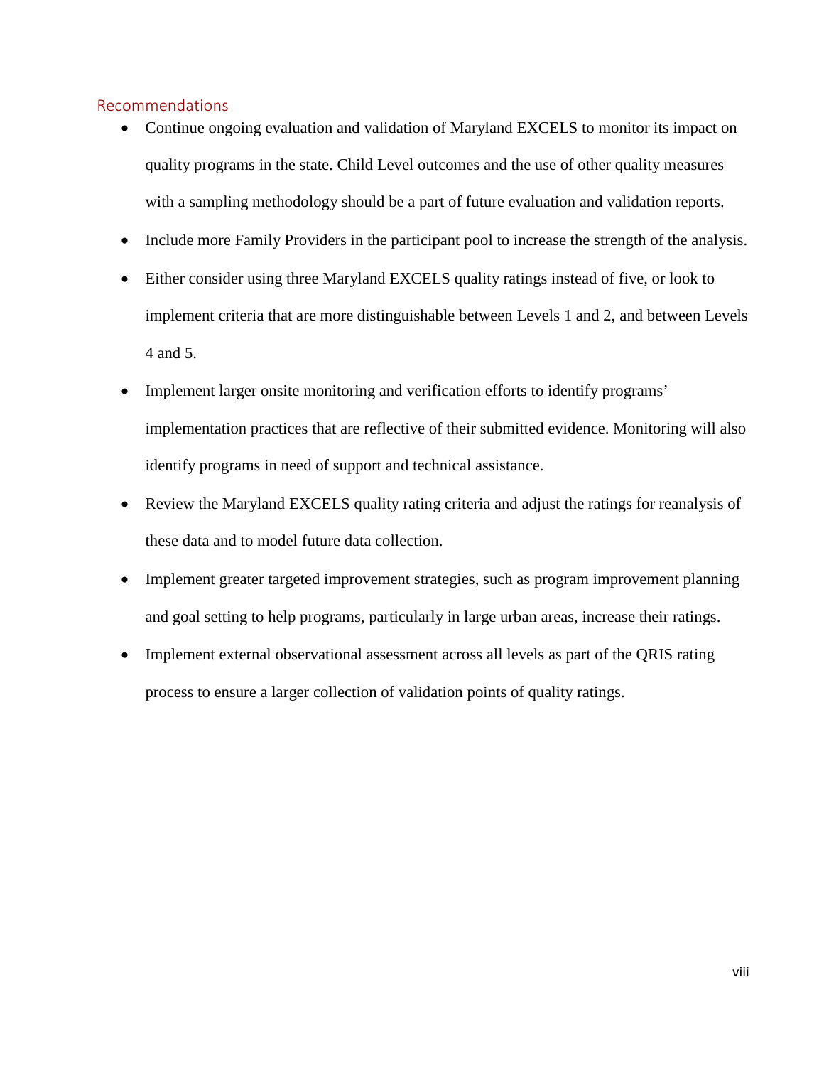#### <span id="page-10-0"></span>Recommendations

- Continue ongoing evaluation and validation of Maryland EXCELS to monitor its impact on quality programs in the state. Child Level outcomes and the use of other quality measures with a sampling methodology should be a part of future evaluation and validation reports.
- Include more Family Providers in the participant pool to increase the strength of the analysis.
- Either consider using three Maryland EXCELS quality ratings instead of five, or look to implement criteria that are more distinguishable between Levels 1 and 2, and between Levels 4 and 5.
- Implement larger onsite monitoring and verification efforts to identify programs' implementation practices that are reflective of their submitted evidence. Monitoring will also identify programs in need of support and technical assistance.
- Review the Maryland EXCELS quality rating criteria and adjust the ratings for reanalysis of these data and to model future data collection.
- Implement greater targeted improvement strategies, such as program improvement planning and goal setting to help programs, particularly in large urban areas, increase their ratings.
- Implement external observational assessment across all levels as part of the QRIS rating process to ensure a larger collection of validation points of quality ratings.